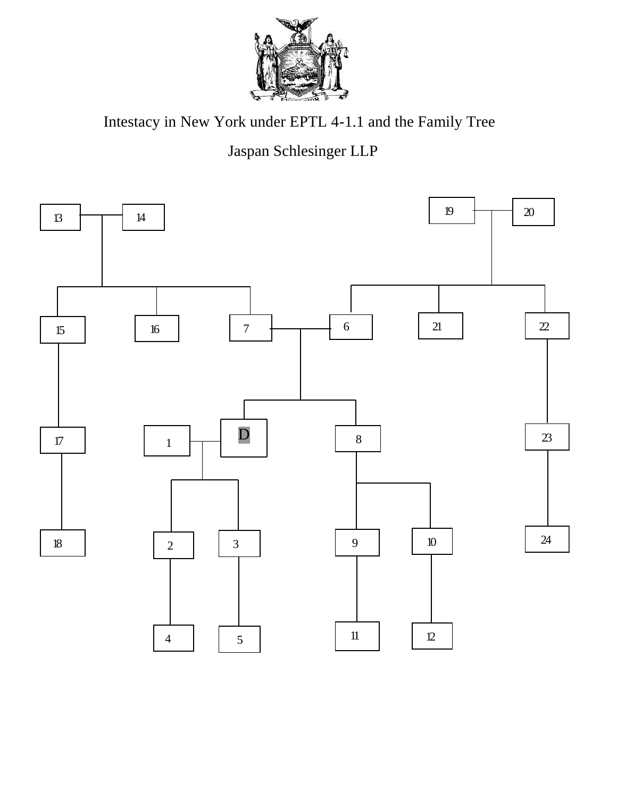![](_page_0_Picture_0.jpeg)

Intestacy in New York under EPTL 4-1.1 and the Family Tree

## Jaspan Schlesinger LLP

![](_page_0_Figure_3.jpeg)